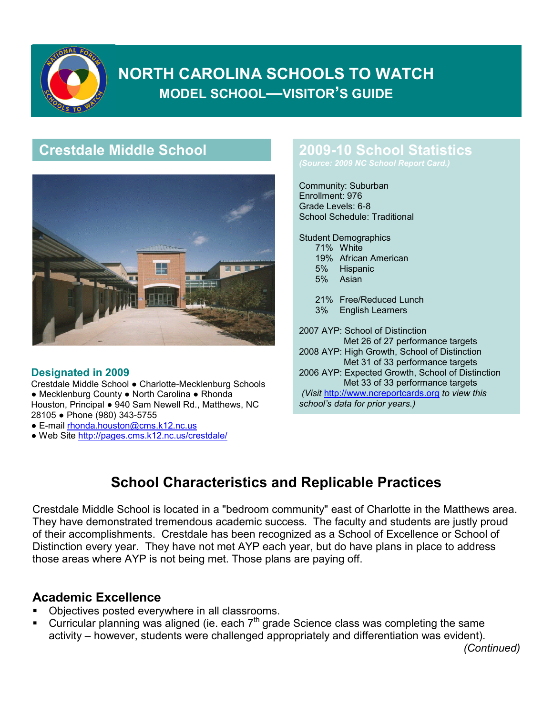

# **NORTH CAROLINA SCHOOLS TO WATCH MODEL SCHOOL—VISITOR'S GUIDE**

# **Crestdale Middle School**



#### **Designated in 2009**

Crestdale Middle School ● Charlotte-Mecklenburg Schools ● Mecklenburg County ● North Carolina ● Rhonda Houston, Principal ● 940 Sam Newell Rd., Matthews, NC 28105 ● Phone (980) 343-5755

- E-mail rhonda.houston@cms.k12.nc.us
- Web Site http://pages.cms.k12.nc.us/crestdale/

### **2009-10 School Statistics**

Community: Suburban Enrollment: 976 Grade Levels: 6-8 School Schedule: Traditional

Student Demographics 71% White 19% African American 5% Hispanic 5% Asian

> 21% Free/Reduced Lunch 3% English Learners

2007 AYP: School of Distinction Met 26 of 27 performance targets 2008 AYP: High Growth, School of Distinction Met 31 of 33 performance targets 2006 AYP: Expected Growth, School of Distinction Met 33 of 33 performance targets *(Visit* http://www.ncreportcards.org *to view this*

*school's data for prior years.)*

# **School Characteristics and Replicable Practices**

Crestdale Middle School is located in a "bedroom community" east of Charlotte in the Matthews area. They have demonstrated tremendous academic success. The faculty and students are justly proud of their accomplishments. Crestdale has been recognized as a School of Excellence or School of Distinction every year. They have not met AYP each year, but do have plans in place to address those areas where AYP is not being met. Those plans are paying off.

#### **Academic Excellence**

- Objectives posted everywhere in all classrooms.
- Curricular planning was aligned (ie. each  $7<sup>th</sup>$  grade Science class was completing the same activity – however, students were challenged appropriately and differentiation was evident).

*(Continued)*